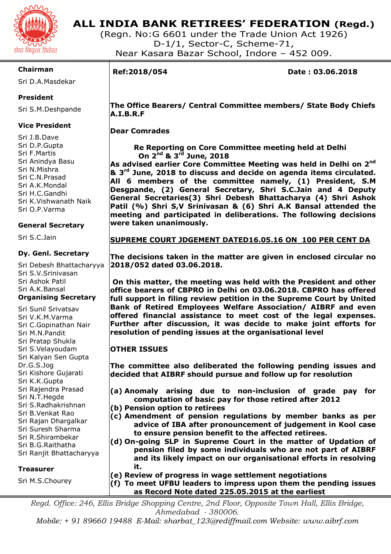

# **ALL INDIA BANK RETIREES' FEDERATION (Regd.)**

(Regn. No:G 6601 under the Trade Union Act 1926) D-1/1, Sector-C, Scheme-71, Near Kasara Bazar School, Indore – 452 009.

### **Chairman**

Sri D.A.Masdekar

# **President**

Sri S.M.Deshpande

# **Vice President**

Sri J.B.Dave Sri D.P.Gupta Sri F.Martis Sri Anindya Basu Sri N.Mishra Sri C.N.Prasad Sri A.K.Mondal Sri H.C.Gandhi Sri K.Vishwanath Naik Sri O.P.Varma

#### **General Secretary**

Sri S.C.Jain

#### **Dy. Genl. Secretary**

Sri Debesh Bhattacharyya Sri S.V.Srinivasan Sri Ashok Patil Sri A.K.Bansal **Organising Secretary** 

Sri Sunil Srivatsav Sri V.K.M.Varma Sri C.Gopinathan Nair Sri M.N.Pandit Sri Pratap Shukla Sri S.Velayoudam Sri Kalyan Sen Gupta Dr.G.S.Jog Sri Kishore Gujarati Sri K.K.Gupta Sri Rajendra Prasad Sri N.T.Hegde Sri S.Radhakrishnan Sri B.Venkat Rao Sri Rajan Dhargalkar Sri Suresh Sharma Sri R.Shirambekar Sri B.G.Raithatha Sri Ranjit Bhattacharyya

#### **Treasurer**

Sri M.S.Chourey

*Regd. Office: 246, Ellis Bridge Shopping Centre, 2nd Floor, Opposite Town Hall, Ellis Bridge, Ahmedabad - 380006.* 

*Mobile: + 91 89660 19488 E-Mail: sharbat\_123@rediffmail.com Website: www.aibrf.com* 

# I

**Ref:2018/054 Date : 03.06.2018** 

**The Office Bearers/ Central Committee members/ State Body Chiefs A.I.B.R.F** 

**Dear Comrades** 

 **Re Reporting on Core Committee meeting held at Delhi On 2nd & 3rd June, 2018** 

**As advised earlier Core Committee Meeting was held in Delhi on 2nd & 3rd June, 2018 to discuss and decide on agenda items circulated. All 6 members of the committee namely, (1) President, S.M Desgpande, (2) General Secretary, Shri S.C.Jain and 4 Deputy General Secretaries(3) Shri Debesh Bhattacharya (4) Shri Ashok Patil (%) Shri S,V Srinivasan & (6) Shri A.K Bansal attended the meeting and participated in deliberations. The following decisions were taken unanimously.** 

#### **SUPREME COURT JDGEMENT DATED16.05.16 ON 100 PER CENT DA**

**The decisions taken in the matter are given in enclosed circular no 2018/052 dated 03.06.2018.** 

 **On this matter, the meeting was held with the President and other office bearers of CBPRO in Delhi on 03.06.2018. CBPRO has offered full support in filing review petition in the Supreme Court by United Bank of Retired Employees Welfare Association/ AIBRF and even offered financial assistance to meet cost of the legal expenses. Further after discussion, it was decide to make joint efforts for resolution of pending issues at the organisational level** 

# **OTHER ISSUES**

**The committee also deliberated the following pending issues and decided that AIBRF should pursue and follow up for resolution** 

**(a) Anomaly arising due to non-inclusion of grade pay for computation of basic pay for those retired after 2012** 

- **(b) Pension option to retirees**
- **(c) Amendment of pension regulations by member banks as per advice of IBA after pronouncement of judgement in Kool case to ensure pension benefit to the affected retirees.**
- **(d) On-going SLP in Supreme Court in the matter of Updation of pension filed by some individuals who are not part of AIBRF and its likely impact on our organisational efforts in resolving it.**

**(e) Review of progress in wage settlement negotiations (f) To meet UFBU leaders to impress upon them the pending issues as Record Note dated 225.05.2015 at the earliest**